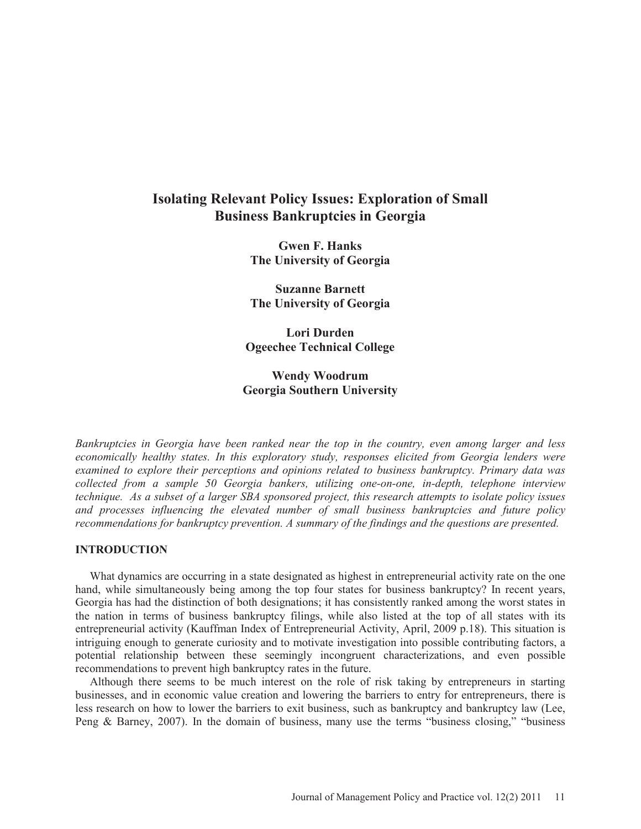# **Isolating Relevant Policy Issues: Exploration of Small Business Bankruptcies in Georgia**

**Gwen F. Hanks The University of Georgia** 

**Suzanne Barnett The University of Georgia** 

**Lori Durden Ogeechee Technical College** 

# **Wendy Woodrum Georgia Southern University**

*Bankruptcies in Georgia have been ranked near the top in the country, even among larger and less economically healthy states. In this exploratory study, responses elicited from Georgia lenders were examined to explore their perceptions and opinions related to business bankruptcy. Primary data was collected from a sample 50 Georgia bankers, utilizing one-on-one, in-depth, telephone interview technique. As a subset of a larger SBA sponsored project, this research attempts to isolate policy issues and processes influencing the elevated number of small business bankruptcies and future policy recommendations for bankruptcy prevention. A summary of the findings and the questions are presented.* 

## **INTRODUCTION**

 What dynamics are occurring in a state designated as highest in entrepreneurial activity rate on the one hand, while simultaneously being among the top four states for business bankruptcy? In recent years, Georgia has had the distinction of both designations; it has consistently ranked among the worst states in the nation in terms of business bankruptcy filings, while also listed at the top of all states with its entrepreneurial activity (Kauffman Index of Entrepreneurial Activity, April, 2009 p.18). This situation is intriguing enough to generate curiosity and to motivate investigation into possible contributing factors, a potential relationship between these seemingly incongruent characterizations, and even possible recommendations to prevent high bankruptcy rates in the future.

 Although there seems to be much interest on the role of risk taking by entrepreneurs in starting businesses, and in economic value creation and lowering the barriers to entry for entrepreneurs, there is less research on how to lower the barriers to exit business, such as bankruptcy and bankruptcy law (Lee, Peng & Barney, 2007). In the domain of business, many use the terms "business closing," "business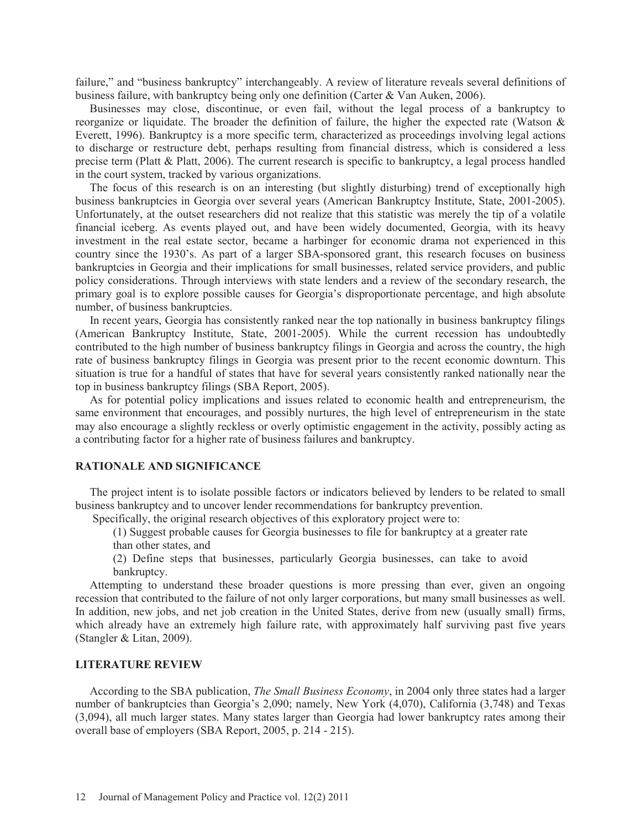failure," and "business bankruptcy" interchangeably. A review of literature reveals several definitions of business failure, with bankruptcy being only one definition (Carter & Van Auken, 2006).

 Businesses may close, discontinue, or even fail, without the legal process of a bankruptcy to reorganize or liquidate. The broader the definition of failure, the higher the expected rate (Watson & Everett, 1996). Bankruptcy is a more specific term, characterized as proceedings involving legal actions to discharge or restructure debt, perhaps resulting from financial distress, which is considered a less precise term (Platt & Platt, 2006). The current research is specific to bankruptcy, a legal process handled in the court system, tracked by various organizations.

 The focus of this research is on an interesting (but slightly disturbing) trend of exceptionally high business bankruptcies in Georgia over several years (American Bankruptcy Institute, State, 2001-2005). Unfortunately, at the outset researchers did not realize that this statistic was merely the tip of a volatile financial iceberg. As events played out, and have been widely documented, Georgia, with its heavy investment in the real estate sector, became a harbinger for economic drama not experienced in this country since the 1930's. As part of a larger SBA-sponsored grant, this research focuses on business bankruptcies in Georgia and their implications for small businesses, related service providers, and public policy considerations. Through interviews with state lenders and a review of the secondary research, the primary goal is to explore possible causes for Georgia's disproportionate percentage, and high absolute number, of business bankruptcies.

 In recent years, Georgia has consistently ranked near the top nationally in business bankruptcy filings (American Bankruptcy Institute, State, 2001-2005). While the current recession has undoubtedly contributed to the high number of business bankruptcy filings in Georgia and across the country, the high rate of business bankruptcy filings in Georgia was present prior to the recent economic downturn. This situation is true for a handful of states that have for several years consistently ranked nationally near the top in business bankruptcy filings (SBA Report, 2005).

 As for potential policy implications and issues related to economic health and entrepreneurism, the same environment that encourages, and possibly nurtures, the high level of entrepreneurism in the state may also encourage a slightly reckless or overly optimistic engagement in the activity, possibly acting as a contributing factor for a higher rate of business failures and bankruptcy.

# **RATIONALE AND SIGNIFICANCE**

 The project intent is to isolate possible factors or indicators believed by lenders to be related to small business bankruptcy and to uncover lender recommendations for bankruptcy prevention.

Specifically, the original research objectives of this exploratory project were to:

(1) Suggest probable causes for Georgia businesses to file for bankruptcy at a greater rate than other states, and

(2) Define steps that businesses, particularly Georgia businesses, can take to avoid bankruptcy.

 Attempting to understand these broader questions is more pressing than ever, given an ongoing recession that contributed to the failure of not only larger corporations, but many small businesses as well. In addition, new jobs, and net job creation in the United States, derive from new (usually small) firms, which already have an extremely high failure rate, with approximately half surviving past five years (Stangler & Litan, 2009).

#### **LITERATURE REVIEW**

 According to the SBA publication, *The Small Business Economy*, in 2004 only three states had a larger number of bankruptcies than Georgia's 2,090; namely, New York (4,070), California (3,748) and Texas (3,094), all much larger states. Many states larger than Georgia had lower bankruptcy rates among their overall base of employers (SBA Report, 2005, p. 214 - 215).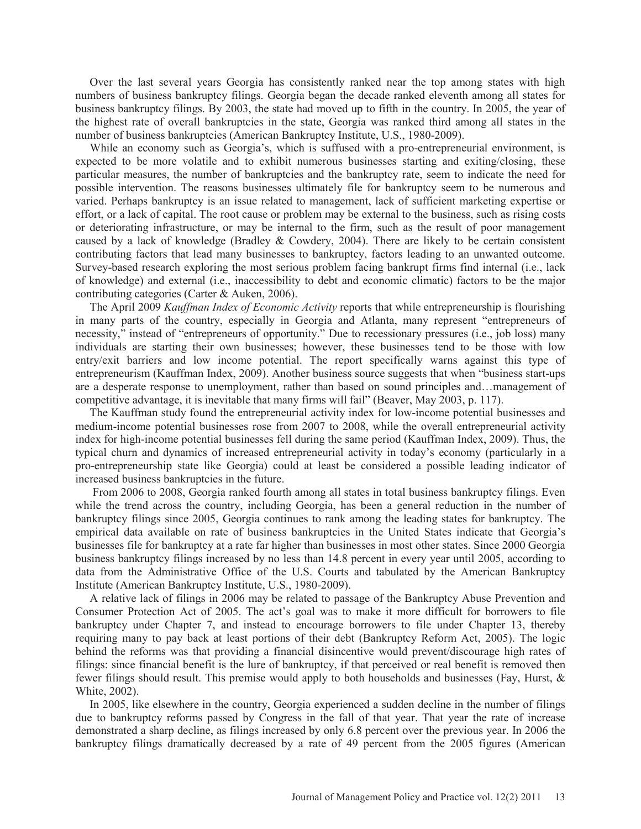Over the last several years Georgia has consistently ranked near the top among states with high numbers of business bankruptcy filings. Georgia began the decade ranked eleventh among all states for business bankruptcy filings. By 2003, the state had moved up to fifth in the country. In 2005, the year of the highest rate of overall bankruptcies in the state, Georgia was ranked third among all states in the number of business bankruptcies (American Bankruptcy Institute, U.S., 1980-2009).

 While an economy such as Georgia's, which is suffused with a pro-entrepreneurial environment, is expected to be more volatile and to exhibit numerous businesses starting and exiting/closing, these particular measures, the number of bankruptcies and the bankruptcy rate, seem to indicate the need for possible intervention. The reasons businesses ultimately file for bankruptcy seem to be numerous and varied. Perhaps bankruptcy is an issue related to management, lack of sufficient marketing expertise or effort, or a lack of capital. The root cause or problem may be external to the business, such as rising costs or deteriorating infrastructure, or may be internal to the firm, such as the result of poor management caused by a lack of knowledge (Bradley  $&$  Cowdery, 2004). There are likely to be certain consistent contributing factors that lead many businesses to bankruptcy, factors leading to an unwanted outcome. Survey-based research exploring the most serious problem facing bankrupt firms find internal (i.e., lack of knowledge) and external (i.e., inaccessibility to debt and economic climatic) factors to be the major contributing categories (Carter & Auken, 2006).

 The April 2009 *Kauffman Index of Economic Activity* reports that while entrepreneurship is flourishing in many parts of the country, especially in Georgia and Atlanta, many represent "entrepreneurs of necessity," instead of "entrepreneurs of opportunity." Due to recessionary pressures (i.e., job loss) many individuals are starting their own businesses; however, these businesses tend to be those with low entry/exit barriers and low income potential. The report specifically warns against this type of entrepreneurism (Kauffman Index, 2009). Another business source suggests that when "business start-ups are a desperate response to unemployment, rather than based on sound principles and…management of competitive advantage, it is inevitable that many firms will fail" (Beaver, May 2003, p. 117).

 The Kauffman study found the entrepreneurial activity index for low-income potential businesses and medium-income potential businesses rose from 2007 to 2008, while the overall entrepreneurial activity index for high-income potential businesses fell during the same period (Kauffman Index, 2009). Thus, the typical churn and dynamics of increased entrepreneurial activity in today's economy (particularly in a pro-entrepreneurship state like Georgia) could at least be considered a possible leading indicator of increased business bankruptcies in the future.

 From 2006 to 2008, Georgia ranked fourth among all states in total business bankruptcy filings. Even while the trend across the country, including Georgia, has been a general reduction in the number of bankruptcy filings since 2005, Georgia continues to rank among the leading states for bankruptcy. The empirical data available on rate of business bankruptcies in the United States indicate that Georgia's businesses file for bankruptcy at a rate far higher than businesses in most other states. Since 2000 Georgia business bankruptcy filings increased by no less than 14.8 percent in every year until 2005, according to data from the Administrative Office of the U.S. Courts and tabulated by the American Bankruptcy Institute (American Bankruptcy Institute, U.S., 1980-2009).

 A relative lack of filings in 2006 may be related to passage of the Bankruptcy Abuse Prevention and Consumer Protection Act of 2005. The act's goal was to make it more difficult for borrowers to file bankruptcy under Chapter 7, and instead to encourage borrowers to file under Chapter 13, thereby requiring many to pay back at least portions of their debt (Bankruptcy Reform Act, 2005). The logic behind the reforms was that providing a financial disincentive would prevent/discourage high rates of filings: since financial benefit is the lure of bankruptcy, if that perceived or real benefit is removed then fewer filings should result. This premise would apply to both households and businesses (Fay, Hurst, & White, 2002).

 In 2005, like elsewhere in the country, Georgia experienced a sudden decline in the number of filings due to bankruptcy reforms passed by Congress in the fall of that year. That year the rate of increase demonstrated a sharp decline, as filings increased by only 6.8 percent over the previous year. In 2006 the bankruptcy filings dramatically decreased by a rate of 49 percent from the 2005 figures (American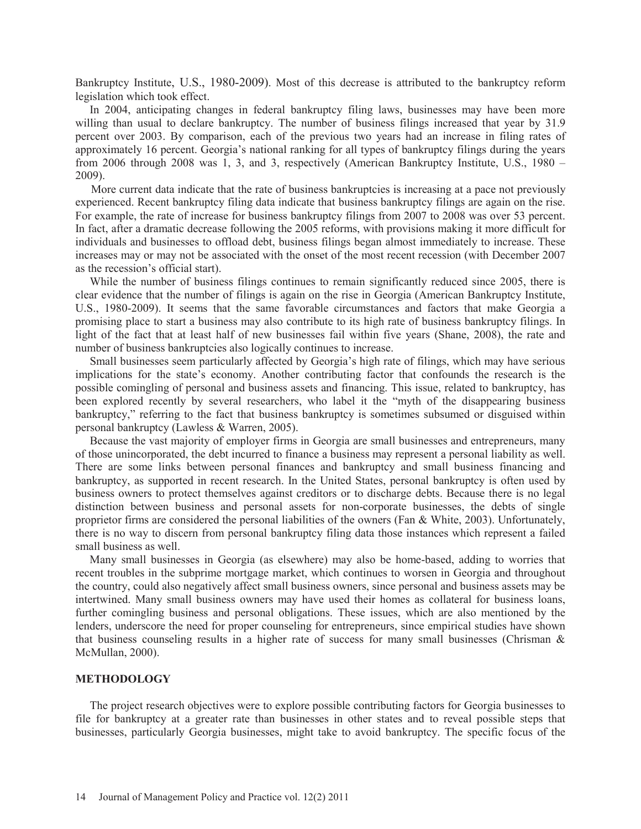Bankruptcy Institute, U.S., 1980-2009). Most of this decrease is attributed to the bankruptcy reform legislation which took effect.

 In 2004, anticipating changes in federal bankruptcy filing laws, businesses may have been more willing than usual to declare bankruptcy. The number of business filings increased that year by 31.9 percent over 2003. By comparison, each of the previous two years had an increase in filing rates of approximately 16 percent. Georgia's national ranking for all types of bankruptcy filings during the years from 2006 through 2008 was 1, 3, and 3, respectively (American Bankruptcy Institute, U.S., 1980 – 2009).

 More current data indicate that the rate of business bankruptcies is increasing at a pace not previously experienced. Recent bankruptcy filing data indicate that business bankruptcy filings are again on the rise. For example, the rate of increase for business bankruptcy filings from 2007 to 2008 was over 53 percent. In fact, after a dramatic decrease following the 2005 reforms, with provisions making it more difficult for individuals and businesses to offload debt, business filings began almost immediately to increase. These increases may or may not be associated with the onset of the most recent recession (with December 2007 as the recession's official start).

While the number of business filings continues to remain significantly reduced since 2005, there is clear evidence that the number of filings is again on the rise in Georgia (American Bankruptcy Institute, U.S., 1980-2009). It seems that the same favorable circumstances and factors that make Georgia a promising place to start a business may also contribute to its high rate of business bankruptcy filings. In light of the fact that at least half of new businesses fail within five years (Shane, 2008), the rate and number of business bankruptcies also logically continues to increase.

 Small businesses seem particularly affected by Georgia's high rate of filings, which may have serious implications for the state's economy. Another contributing factor that confounds the research is the possible comingling of personal and business assets and financing. This issue, related to bankruptcy, has been explored recently by several researchers, who label it the "myth of the disappearing business bankruptcy," referring to the fact that business bankruptcy is sometimes subsumed or disguised within personal bankruptcy (Lawless & Warren, 2005).

 Because the vast majority of employer firms in Georgia are small businesses and entrepreneurs, many of those unincorporated, the debt incurred to finance a business may represent a personal liability as well. There are some links between personal finances and bankruptcy and small business financing and bankruptcy, as supported in recent research. In the United States, personal bankruptcy is often used by business owners to protect themselves against creditors or to discharge debts. Because there is no legal distinction between business and personal assets for non-corporate businesses, the debts of single proprietor firms are considered the personal liabilities of the owners (Fan  $\&$  White, 2003). Unfortunately, there is no way to discern from personal bankruptcy filing data those instances which represent a failed small business as well.

 Many small businesses in Georgia (as elsewhere) may also be home-based, adding to worries that recent troubles in the subprime mortgage market, which continues to worsen in Georgia and throughout the country, could also negatively affect small business owners, since personal and business assets may be intertwined. Many small business owners may have used their homes as collateral for business loans, further comingling business and personal obligations. These issues, which are also mentioned by the lenders, underscore the need for proper counseling for entrepreneurs, since empirical studies have shown that business counseling results in a higher rate of success for many small businesses (Chrisman  $\&$ McMullan, 2000).

## **METHODOLOGY**

 The project research objectives were to explore possible contributing factors for Georgia businesses to file for bankruptcy at a greater rate than businesses in other states and to reveal possible steps that businesses, particularly Georgia businesses, might take to avoid bankruptcy. The specific focus of the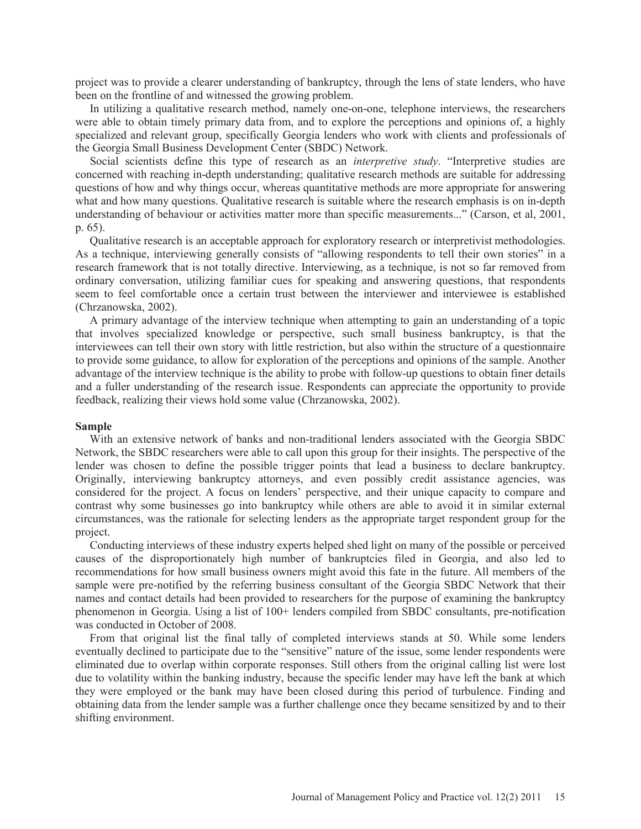project was to provide a clearer understanding of bankruptcy, through the lens of state lenders, who have been on the frontline of and witnessed the growing problem.

 In utilizing a qualitative research method, namely one-on-one, telephone interviews, the researchers were able to obtain timely primary data from, and to explore the perceptions and opinions of, a highly specialized and relevant group, specifically Georgia lenders who work with clients and professionals of the Georgia Small Business Development Center (SBDC) Network.

 Social scientists define this type of research as an *interpretive study*. "Interpretive studies are concerned with reaching in-depth understanding; qualitative research methods are suitable for addressing questions of how and why things occur, whereas quantitative methods are more appropriate for answering what and how many questions. Qualitative research is suitable where the research emphasis is on in-depth understanding of behaviour or activities matter more than specific measurements..." (Carson, et al, 2001, p. 65).

 Qualitative research is an acceptable approach for exploratory research or interpretivist methodologies. As a technique, interviewing generally consists of "allowing respondents to tell their own stories" in a research framework that is not totally directive. Interviewing, as a technique, is not so far removed from ordinary conversation, utilizing familiar cues for speaking and answering questions, that respondents seem to feel comfortable once a certain trust between the interviewer and interviewee is established (Chrzanowska, 2002).

 A primary advantage of the interview technique when attempting to gain an understanding of a topic that involves specialized knowledge or perspective, such small business bankruptcy, is that the interviewees can tell their own story with little restriction, but also within the structure of a questionnaire to provide some guidance, to allow for exploration of the perceptions and opinions of the sample. Another advantage of the interview technique is the ability to probe with follow-up questions to obtain finer details and a fuller understanding of the research issue. Respondents can appreciate the opportunity to provide feedback, realizing their views hold some value (Chrzanowska, 2002).

# **Sample**

 With an extensive network of banks and non-traditional lenders associated with the Georgia SBDC Network, the SBDC researchers were able to call upon this group for their insights. The perspective of the lender was chosen to define the possible trigger points that lead a business to declare bankruptcy. Originally, interviewing bankruptcy attorneys, and even possibly credit assistance agencies, was considered for the project. A focus on lenders' perspective, and their unique capacity to compare and contrast why some businesses go into bankruptcy while others are able to avoid it in similar external circumstances, was the rationale for selecting lenders as the appropriate target respondent group for the project.

 Conducting interviews of these industry experts helped shed light on many of the possible or perceived causes of the disproportionately high number of bankruptcies filed in Georgia, and also led to recommendations for how small business owners might avoid this fate in the future. All members of the sample were pre-notified by the referring business consultant of the Georgia SBDC Network that their names and contact details had been provided to researchers for the purpose of examining the bankruptcy phenomenon in Georgia. Using a list of 100+ lenders compiled from SBDC consultants, pre-notification was conducted in October of 2008.

 From that original list the final tally of completed interviews stands at 50. While some lenders eventually declined to participate due to the "sensitive" nature of the issue, some lender respondents were eliminated due to overlap within corporate responses. Still others from the original calling list were lost due to volatility within the banking industry, because the specific lender may have left the bank at which they were employed or the bank may have been closed during this period of turbulence. Finding and obtaining data from the lender sample was a further challenge once they became sensitized by and to their shifting environment.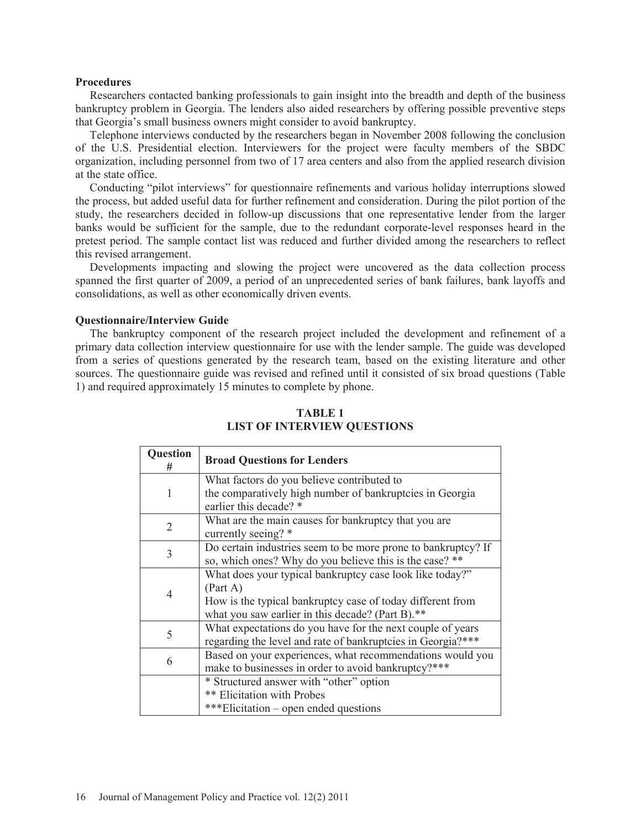### **Procedures**

 Researchers contacted banking professionals to gain insight into the breadth and depth of the business bankruptcy problem in Georgia. The lenders also aided researchers by offering possible preventive steps that Georgia's small business owners might consider to avoid bankruptcy.

 Telephone interviews conducted by the researchers began in November 2008 following the conclusion of the U.S. Presidential election. Interviewers for the project were faculty members of the SBDC organization, including personnel from two of 17 area centers and also from the applied research division at the state office.

 Conducting "pilot interviews" for questionnaire refinements and various holiday interruptions slowed the process, but added useful data for further refinement and consideration. During the pilot portion of the study, the researchers decided in follow-up discussions that one representative lender from the larger banks would be sufficient for the sample, due to the redundant corporate-level responses heard in the pretest period. The sample contact list was reduced and further divided among the researchers to reflect this revised arrangement.

 Developments impacting and slowing the project were uncovered as the data collection process spanned the first quarter of 2009, a period of an unprecedented series of bank failures, bank layoffs and consolidations, as well as other economically driven events.

### **Questionnaire/Interview Guide**

 The bankruptcy component of the research project included the development and refinement of a primary data collection interview questionnaire for use with the lender sample. The guide was developed from a series of questions generated by the research team, based on the existing literature and other sources. The questionnaire guide was revised and refined until it consisted of six broad questions (Table 1) and required approximately 15 minutes to complete by phone.

| Question<br># | <b>Broad Questions for Lenders</b>                            |
|---------------|---------------------------------------------------------------|
|               | What factors do you believe contributed to                    |
| 1             | the comparatively high number of bankruptcies in Georgia      |
|               | earlier this decade? *                                        |
| 2             | What are the main causes for bankruptcy that you are          |
|               | currently seeing? *                                           |
| 3             | Do certain industries seem to be more prone to bankruptcy? If |
|               | so, which ones? Why do you believe this is the case? **       |
|               | What does your typical bankruptcy case look like today?"      |
|               | (Part A)                                                      |
| 4             | How is the typical bankruptcy case of today different from    |
|               | what you saw earlier in this decade? (Part B).**              |
|               | What expectations do you have for the next couple of years    |
| 5             | regarding the level and rate of bankruptcies in Georgia?***   |
|               | Based on your experiences, what recommendations would you     |
| 6             | make to businesses in order to avoid bankruptcy?***           |
|               | * Structured answer with "other" option                       |
|               | <b>** Elicitation with Probes</b>                             |
|               | ***Elicitation – open ended questions                         |

# **TABLE 1 LIST OF INTERVIEW QUESTIONS**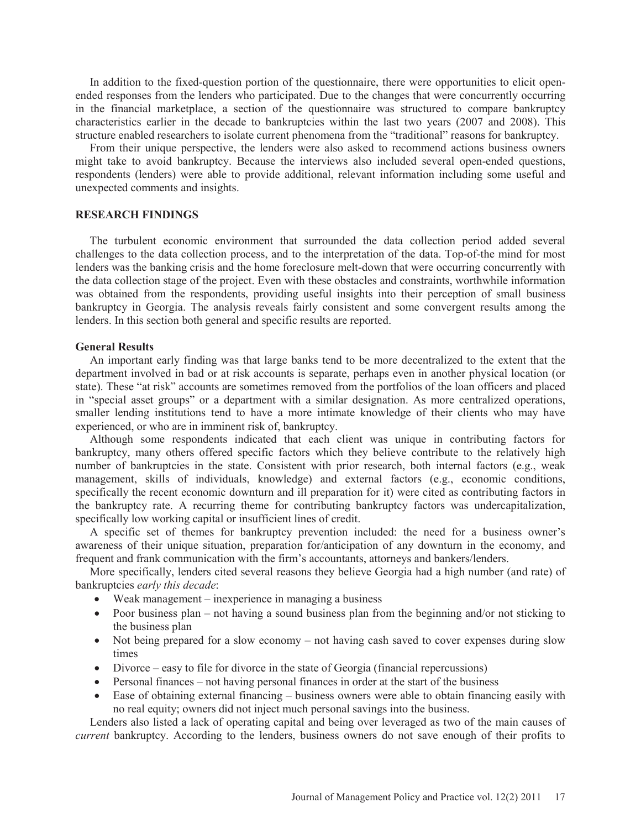In addition to the fixed-question portion of the questionnaire, there were opportunities to elicit openended responses from the lenders who participated. Due to the changes that were concurrently occurring in the financial marketplace, a section of the questionnaire was structured to compare bankruptcy characteristics earlier in the decade to bankruptcies within the last two years (2007 and 2008). This structure enabled researchers to isolate current phenomena from the "traditional" reasons for bankruptcy.

 From their unique perspective, the lenders were also asked to recommend actions business owners might take to avoid bankruptcy. Because the interviews also included several open-ended questions, respondents (lenders) were able to provide additional, relevant information including some useful and unexpected comments and insights.

# **RESEARCH FINDINGS**

 The turbulent economic environment that surrounded the data collection period added several challenges to the data collection process, and to the interpretation of the data. Top-of-the mind for most lenders was the banking crisis and the home foreclosure melt-down that were occurring concurrently with the data collection stage of the project. Even with these obstacles and constraints, worthwhile information was obtained from the respondents, providing useful insights into their perception of small business bankruptcy in Georgia. The analysis reveals fairly consistent and some convergent results among the lenders. In this section both general and specific results are reported.

#### **General Results**

 An important early finding was that large banks tend to be more decentralized to the extent that the department involved in bad or at risk accounts is separate, perhaps even in another physical location (or state). These "at risk" accounts are sometimes removed from the portfolios of the loan officers and placed in "special asset groups" or a department with a similar designation. As more centralized operations, smaller lending institutions tend to have a more intimate knowledge of their clients who may have experienced, or who are in imminent risk of, bankruptcy.

 Although some respondents indicated that each client was unique in contributing factors for bankruptcy, many others offered specific factors which they believe contribute to the relatively high number of bankruptcies in the state. Consistent with prior research, both internal factors (e.g., weak management, skills of individuals, knowledge) and external factors (e.g., economic conditions, specifically the recent economic downturn and ill preparation for it) were cited as contributing factors in the bankruptcy rate. A recurring theme for contributing bankruptcy factors was undercapitalization, specifically low working capital or insufficient lines of credit.

 A specific set of themes for bankruptcy prevention included: the need for a business owner's awareness of their unique situation, preparation for/anticipation of any downturn in the economy, and frequent and frank communication with the firm's accountants, attorneys and bankers/lenders.

 More specifically, lenders cited several reasons they believe Georgia had a high number (and rate) of bankruptcies *early this decade*:

- $\bullet$  Weak management inexperience in managing a business
- Poor business plan not having a sound business plan from the beginning and/or not sticking to the business plan
- $\bullet$  Not being prepared for a slow economy not having cash saved to cover expenses during slow times
- $\bullet$  Divorce easy to file for divorce in the state of Georgia (financial repercussions)
- $\bullet$  Personal finances not having personal finances in order at the start of the business
- Ease of obtaining external financing business owners were able to obtain financing easily with no real equity; owners did not inject much personal savings into the business.

 Lenders also listed a lack of operating capital and being over leveraged as two of the main causes of *current* bankruptcy. According to the lenders, business owners do not save enough of their profits to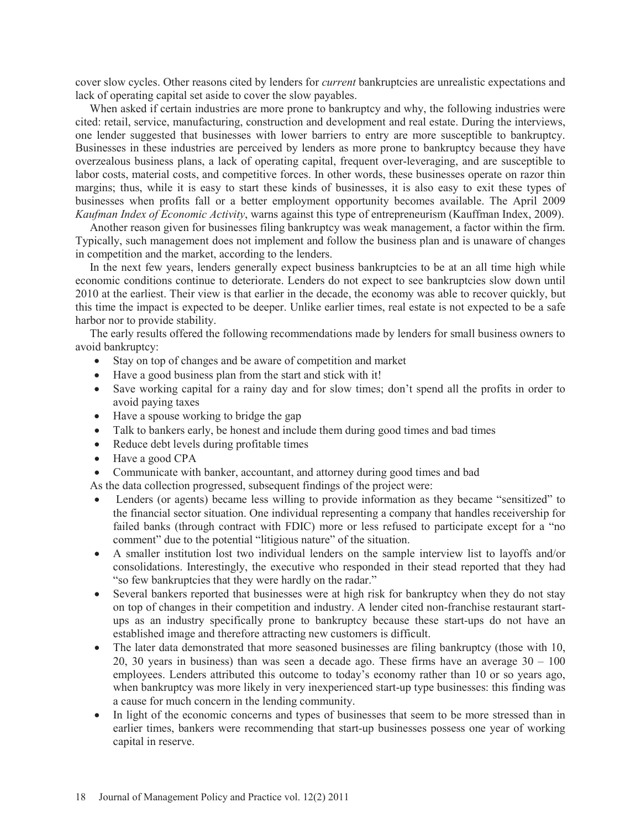cover slow cycles. Other reasons cited by lenders for *current* bankruptcies are unrealistic expectations and lack of operating capital set aside to cover the slow payables.

 When asked if certain industries are more prone to bankruptcy and why, the following industries were cited: retail, service, manufacturing, construction and development and real estate. During the interviews, one lender suggested that businesses with lower barriers to entry are more susceptible to bankruptcy. Businesses in these industries are perceived by lenders as more prone to bankruptcy because they have overzealous business plans, a lack of operating capital, frequent over-leveraging, and are susceptible to labor costs, material costs, and competitive forces. In other words, these businesses operate on razor thin margins; thus, while it is easy to start these kinds of businesses, it is also easy to exit these types of businesses when profits fall or a better employment opportunity becomes available. The April 2009 *Kaufman Index of Economic Activity*, warns against this type of entrepreneurism (Kauffman Index, 2009).

 Another reason given for businesses filing bankruptcy was weak management, a factor within the firm. Typically, such management does not implement and follow the business plan and is unaware of changes in competition and the market, according to the lenders.

 In the next few years, lenders generally expect business bankruptcies to be at an all time high while economic conditions continue to deteriorate. Lenders do not expect to see bankruptcies slow down until 2010 at the earliest. Their view is that earlier in the decade, the economy was able to recover quickly, but this time the impact is expected to be deeper. Unlike earlier times, real estate is not expected to be a safe harbor nor to provide stability.

 The early results offered the following recommendations made by lenders for small business owners to avoid bankruptcy:

- Stay on top of changes and be aware of competition and market
- $\bullet$  Have a good business plan from the start and stick with it!
- Save working capital for a rainy day and for slow times; don't spend all the profits in order to avoid paying taxes
- Have a spouse working to bridge the gap
- Talk to bankers early, be honest and include them during good times and bad times
- $\bullet$  Reduce debt levels during profitable times
- $\bullet$  Have a good CPA
- Communicate with banker, accountant, and attorney during good times and bad

As the data collection progressed, subsequent findings of the project were:

- Lenders (or agents) became less willing to provide information as they became "sensitized" to the financial sector situation. One individual representing a company that handles receivership for failed banks (through contract with FDIC) more or less refused to participate except for a "no comment" due to the potential "litigious nature" of the situation.
- A smaller institution lost two individual lenders on the sample interview list to layoffs and/or consolidations. Interestingly, the executive who responded in their stead reported that they had "so few bankruptcies that they were hardly on the radar."
- Several bankers reported that businesses were at high risk for bankruptcy when they do not stay on top of changes in their competition and industry. A lender cited non-franchise restaurant startups as an industry specifically prone to bankruptcy because these start-ups do not have an established image and therefore attracting new customers is difficult.
- $\bullet$  The later data demonstrated that more seasoned businesses are filing bankruptcy (those with 10, 20, 30 years in business) than was seen a decade ago. These firms have an average  $30 - 100$ employees. Lenders attributed this outcome to today's economy rather than 10 or so years ago, when bankruptcy was more likely in very inexperienced start-up type businesses: this finding was a cause for much concern in the lending community.
- In light of the economic concerns and types of businesses that seem to be more stressed than in earlier times, bankers were recommending that start-up businesses possess one year of working capital in reserve.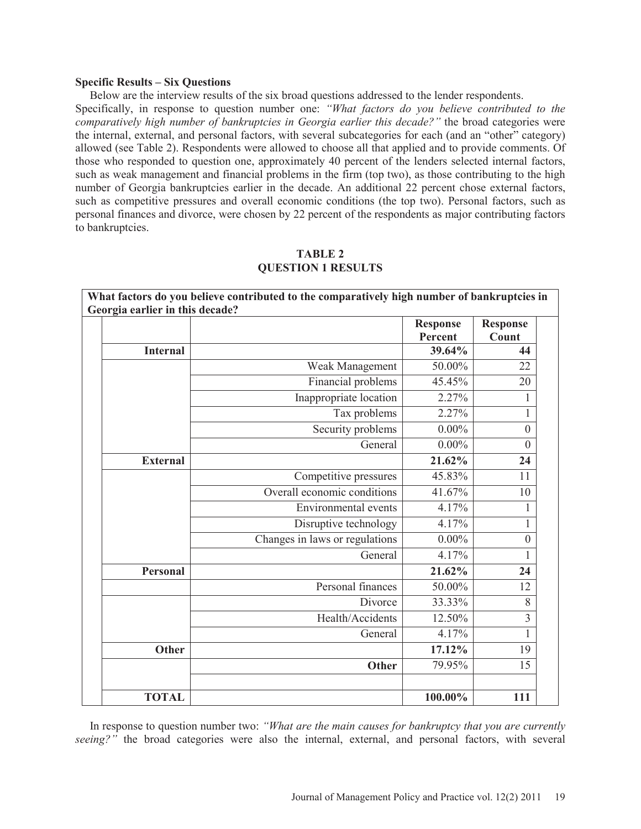### **Specific Results – Six Questions**

 Below are the interview results of the six broad questions addressed to the lender respondents. Specifically, in response to question number one: *"What factors do you believe contributed to the comparatively high number of bankruptcies in Georgia earlier this decade?"* the broad categories were the internal, external, and personal factors, with several subcategories for each (and an "other" category) allowed (see Table 2). Respondents were allowed to choose all that applied and to provide comments. Of those who responded to question one, approximately 40 percent of the lenders selected internal factors, such as weak management and financial problems in the firm (top two), as those contributing to the high number of Georgia bankruptcies earlier in the decade. An additional 22 percent chose external factors, such as competitive pressures and overall economic conditions (the top two). Personal factors, such as personal finances and divorce, were chosen by 22 percent of the respondents as major contributing factors to bankruptcies.

| What factors do you believe contributed to the comparatively high number of bankruptcies in<br>Georgia earlier in this decade? |                                |                                    |                  |  |  |
|--------------------------------------------------------------------------------------------------------------------------------|--------------------------------|------------------------------------|------------------|--|--|
|                                                                                                                                |                                | <b>Response</b><br><b>Response</b> |                  |  |  |
| <b>Internal</b>                                                                                                                |                                | Percent<br>39.64%                  | Count<br>44      |  |  |
|                                                                                                                                |                                |                                    |                  |  |  |
|                                                                                                                                | Weak Management                | 50.00%                             | 22               |  |  |
|                                                                                                                                | Financial problems             | 45.45%                             | 20               |  |  |
|                                                                                                                                | Inappropriate location         | 2.27%                              | 1                |  |  |
|                                                                                                                                | Tax problems                   | 2.27%                              | 1                |  |  |
|                                                                                                                                | Security problems              | $0.00\%$                           | $\boldsymbol{0}$ |  |  |
|                                                                                                                                | General                        | $0.00\%$                           | $\boldsymbol{0}$ |  |  |
| <b>External</b>                                                                                                                |                                | 21.62%                             | 24               |  |  |
|                                                                                                                                | Competitive pressures          | 45.83%                             | 11               |  |  |
|                                                                                                                                | Overall economic conditions    | 41.67%                             | 10               |  |  |
|                                                                                                                                | <b>Environmental</b> events    | 4.17%                              | 1                |  |  |
|                                                                                                                                | Disruptive technology          | 4.17%                              | 1                |  |  |
|                                                                                                                                | Changes in laws or regulations | $0.00\%$                           | $\boldsymbol{0}$ |  |  |
|                                                                                                                                | General                        | 4.17%                              | $\mathbf{1}$     |  |  |
| <b>Personal</b>                                                                                                                |                                | 21.62%                             | 24               |  |  |
|                                                                                                                                | Personal finances              | 50.00%                             | 12               |  |  |
|                                                                                                                                | Divorce                        | 33.33%                             | $8\,$            |  |  |
|                                                                                                                                | Health/Accidents               | 12.50%                             | 3                |  |  |
|                                                                                                                                | General                        | 4.17%                              | $\mathbf{1}$     |  |  |
| <b>Other</b>                                                                                                                   |                                | 17.12%                             | 19               |  |  |
|                                                                                                                                | <b>Other</b>                   | 79.95%                             | 15               |  |  |
|                                                                                                                                |                                |                                    |                  |  |  |
| <b>TOTAL</b>                                                                                                                   |                                | 100.00%                            | 111              |  |  |

# **TABLE 2 QUESTION 1 RESULTS**

 In response to question number two: *"What are the main causes for bankruptcy that you are currently seeing?"* the broad categories were also the internal, external, and personal factors, with several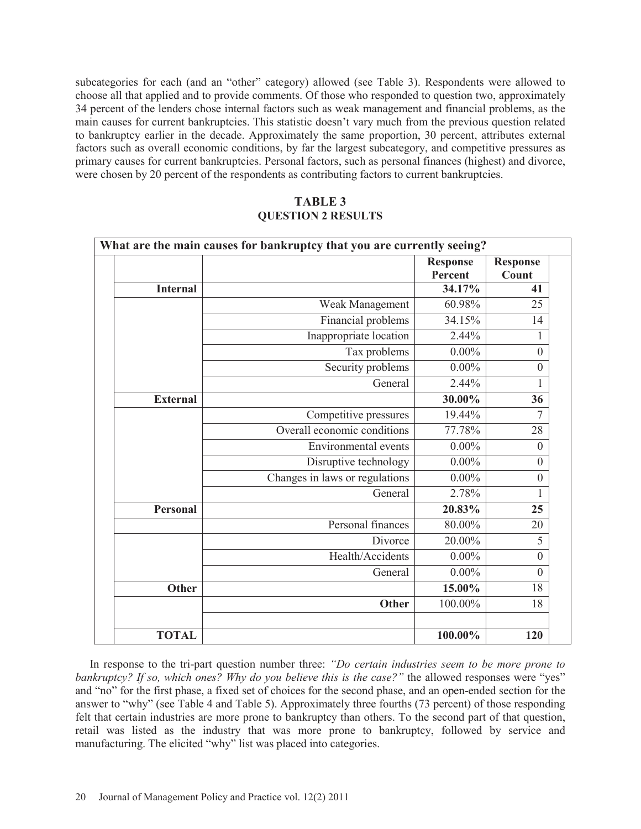subcategories for each (and an "other" category) allowed (see Table 3). Respondents were allowed to choose all that applied and to provide comments. Of those who responded to question two, approximately 34 percent of the lenders chose internal factors such as weak management and financial problems, as the main causes for current bankruptcies. This statistic doesn't vary much from the previous question related to bankruptcy earlier in the decade. Approximately the same proportion, 30 percent, attributes external factors such as overall economic conditions, by far the largest subcategory, and competitive pressures as primary causes for current bankruptcies. Personal factors, such as personal finances (highest) and divorce, were chosen by 20 percent of the respondents as contributing factors to current bankruptcies.

# **TABLE 3 QUESTION 2 RESULTS**

|                 | What are the main causes for bankruptcy that you are currently seeing? | <b>Response</b><br>Percent | <b>Response</b><br>Count |
|-----------------|------------------------------------------------------------------------|----------------------------|--------------------------|
| <b>Internal</b> |                                                                        | 34.17%                     | 41                       |
|                 | Weak Management                                                        | 60.98%                     | 25                       |
|                 | Financial problems                                                     | 34.15%                     | 14                       |
|                 | Inappropriate location                                                 | 2.44%                      | 1                        |
|                 | Tax problems                                                           | $0.00\%$                   | $\boldsymbol{0}$         |
|                 | Security problems                                                      | $0.00\%$                   | $\boldsymbol{0}$         |
|                 | General                                                                | 2.44%                      | 1                        |
| <b>External</b> |                                                                        | 30.00%                     | 36                       |
|                 | Competitive pressures                                                  | 19.44%                     | $\overline{7}$           |
|                 | Overall economic conditions                                            | 77.78%                     | 28                       |
|                 | Environmental events                                                   | $0.00\%$                   | $\theta$                 |
|                 | Disruptive technology                                                  | $0.00\%$                   | $\boldsymbol{0}$         |
|                 | Changes in laws or regulations                                         | $0.00\%$                   | $\boldsymbol{0}$         |
|                 | General                                                                | 2.78%                      | 1                        |
| <b>Personal</b> |                                                                        | 20.83%                     | 25                       |
|                 | Personal finances                                                      | 80.00%                     | 20                       |
|                 | Divorce                                                                | 20.00%                     | 5                        |
|                 | Health/Accidents                                                       | $0.00\%$                   | $\theta$                 |
|                 | General                                                                | $0.00\%$                   | $\mathbf{0}$             |
| <b>Other</b>    |                                                                        | 15.00%                     | 18                       |
|                 | <b>Other</b>                                                           | 100.00%                    | 18                       |
| <b>TOTAL</b>    |                                                                        | 100.00%                    | 120                      |

 In response to the tri-part question number three: *"Do certain industries seem to be more prone to bankruptcy? If so, which ones? Why do you believe this is the case?"* the allowed responses were "yes" and "no" for the first phase, a fixed set of choices for the second phase, and an open-ended section for the answer to "why" (see Table 4 and Table 5). Approximately three fourths (73 percent) of those responding felt that certain industries are more prone to bankruptcy than others. To the second part of that question, retail was listed as the industry that was more prone to bankruptcy, followed by service and manufacturing. The elicited "why" list was placed into categories.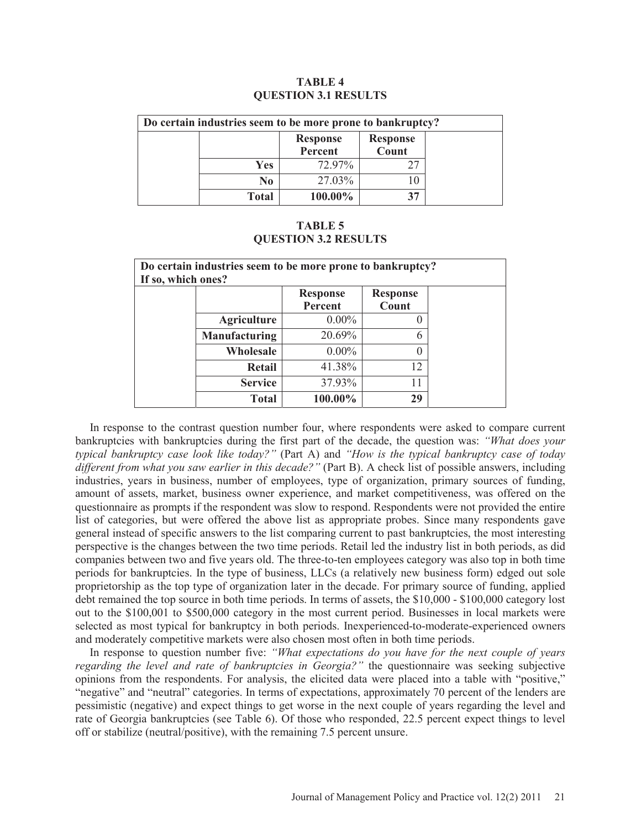| Do certain industries seem to be more prone to bankruptcy? |              |                            |                          |
|------------------------------------------------------------|--------------|----------------------------|--------------------------|
|                                                            |              | <b>Response</b><br>Percent | <b>Response</b><br>Count |
|                                                            | Yes          | 72.97%                     |                          |
|                                                            | No           | 27.03%                     |                          |
|                                                            | <b>Total</b> | 100.00%                    | 37                       |

# **TABLE 4 QUESTION 3.1 RESULTS**

# **TABLE 5 QUESTION 3.2 RESULTS**

| Do certain industries seem to be more prone to bankruptcy?<br>If so, which ones? |                    |                            |                          |  |
|----------------------------------------------------------------------------------|--------------------|----------------------------|--------------------------|--|
|                                                                                  |                    | <b>Response</b><br>Percent | <b>Response</b><br>Count |  |
|                                                                                  | <b>Agriculture</b> | $0.00\%$                   |                          |  |
|                                                                                  | Manufacturing      | 20.69%                     | 6                        |  |
|                                                                                  | Wholesale          | $0.00\%$                   | 0                        |  |
|                                                                                  | <b>Retail</b>      | 41.38%                     | 12                       |  |
|                                                                                  | <b>Service</b>     | 37.93%                     | 11                       |  |
|                                                                                  | <b>Total</b>       | 100.00%                    | 29                       |  |

 In response to the contrast question number four, where respondents were asked to compare current bankruptcies with bankruptcies during the first part of the decade, the question was: *"What does your typical bankruptcy case look like today?"* (Part A) and *"How is the typical bankruptcy case of today different from what you saw earlier in this decade?"* (Part B). A check list of possible answers, including industries, years in business, number of employees, type of organization, primary sources of funding, amount of assets, market, business owner experience, and market competitiveness, was offered on the questionnaire as prompts if the respondent was slow to respond. Respondents were not provided the entire list of categories, but were offered the above list as appropriate probes. Since many respondents gave general instead of specific answers to the list comparing current to past bankruptcies, the most interesting perspective is the changes between the two time periods. Retail led the industry list in both periods, as did companies between two and five years old. The three-to-ten employees category was also top in both time periods for bankruptcies. In the type of business, LLCs (a relatively new business form) edged out sole proprietorship as the top type of organization later in the decade. For primary source of funding, applied debt remained the top source in both time periods. In terms of assets, the \$10,000 - \$100,000 category lost out to the \$100,001 to \$500,000 category in the most current period. Businesses in local markets were selected as most typical for bankruptcy in both periods. Inexperienced-to-moderate-experienced owners and moderately competitive markets were also chosen most often in both time periods.

 In response to question number five: *"What expectations do you have for the next couple of years regarding the level and rate of bankruptcies in Georgia?"* the questionnaire was seeking subjective opinions from the respondents. For analysis, the elicited data were placed into a table with "positive," "negative" and "neutral" categories. In terms of expectations, approximately 70 percent of the lenders are pessimistic (negative) and expect things to get worse in the next couple of years regarding the level and rate of Georgia bankruptcies (see Table 6). Of those who responded, 22.5 percent expect things to level off or stabilize (neutral/positive), with the remaining 7.5 percent unsure.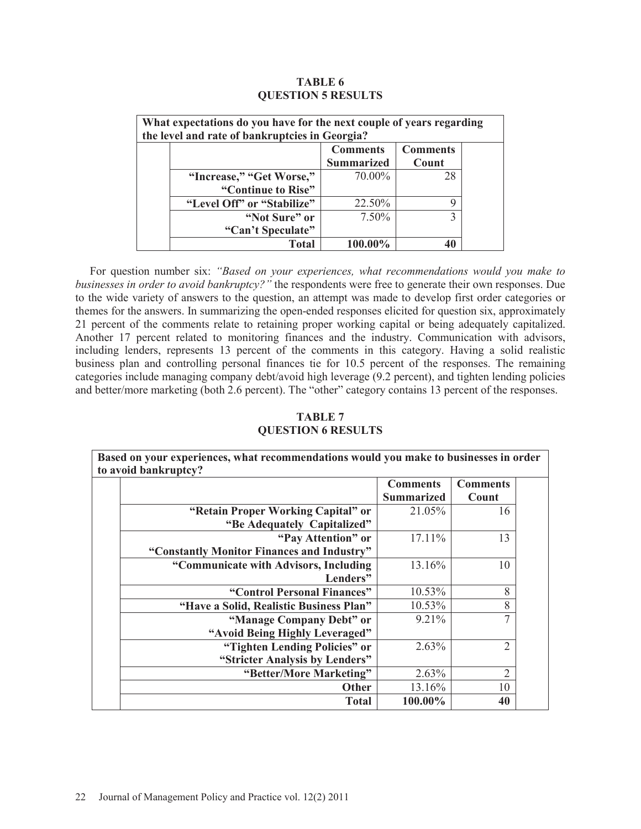| <b>TABLE 6</b>            |  |  |  |  |  |  |
|---------------------------|--|--|--|--|--|--|
| <b>QUESTION 5 RESULTS</b> |  |  |  |  |  |  |

| What expectations do you have for the next couple of years regarding<br>the level and rate of bankruptcies in Georgia? |                            |                                      |                          |  |
|------------------------------------------------------------------------------------------------------------------------|----------------------------|--------------------------------------|--------------------------|--|
|                                                                                                                        |                            | <b>Comments</b><br><b>Summarized</b> | <b>Comments</b><br>Count |  |
|                                                                                                                        | "Increase," "Get Worse,"   | 70.00%                               | 28                       |  |
|                                                                                                                        | "Continue to Rise"         |                                      |                          |  |
|                                                                                                                        | "Level Off" or "Stabilize" | 22.50%                               | g                        |  |
|                                                                                                                        | "Not Sure" or              | 7.50%                                |                          |  |
|                                                                                                                        | "Can't Speculate"          |                                      |                          |  |
|                                                                                                                        | Total                      | $100.00\%$                           | 40                       |  |

 For question number six: *"Based on your experiences, what recommendations would you make to businesses in order to avoid bankruptcy?"* the respondents were free to generate their own responses. Due to the wide variety of answers to the question, an attempt was made to develop first order categories or themes for the answers. In summarizing the open-ended responses elicited for question six, approximately 21 percent of the comments relate to retaining proper working capital or being adequately capitalized. Another 17 percent related to monitoring finances and the industry. Communication with advisors, including lenders, represents 13 percent of the comments in this category. Having a solid realistic business plan and controlling personal finances tie for 10.5 percent of the responses. The remaining categories include managing company debt/avoid high leverage (9.2 percent), and tighten lending policies and better/more marketing (both 2.6 percent). The "other" category contains 13 percent of the responses.

# **TABLE 7 QUESTION 6 RESULTS**

| Based on your experiences, what recommendations would you make to businesses in order<br>to avoid bankruptcy? |                                            |                   |                |  |
|---------------------------------------------------------------------------------------------------------------|--------------------------------------------|-------------------|----------------|--|
|                                                                                                               |                                            | <b>Comments</b>   |                |  |
|                                                                                                               |                                            | <b>Summarized</b> | Count          |  |
|                                                                                                               | "Retain Proper Working Capital" or         | 21.05%            | 16             |  |
|                                                                                                               | "Be Adequately Capitalized"                |                   |                |  |
|                                                                                                               | "Pay Attention" or                         | 17.11%            | 13             |  |
|                                                                                                               | "Constantly Monitor Finances and Industry" |                   |                |  |
|                                                                                                               | "Communicate with Advisors, Including      | 13.16%            | 10             |  |
|                                                                                                               | Lenders"                                   |                   |                |  |
|                                                                                                               | "Control Personal Finances"                | 10.53%            | 8              |  |
|                                                                                                               | "Have a Solid, Realistic Business Plan"    | 10.53%            | 8              |  |
|                                                                                                               | "Manage Company Debt" or                   | 9.21%             | $\overline{7}$ |  |
|                                                                                                               | "Avoid Being Highly Leveraged"             |                   |                |  |
|                                                                                                               | "Tighten Lending Policies" or              | 2.63%             | $\overline{2}$ |  |
|                                                                                                               | "Stricter Analysis by Lenders"             |                   |                |  |
|                                                                                                               | "Better/More Marketing"                    | 2.63%             | $\overline{2}$ |  |
|                                                                                                               | <b>Other</b>                               | 13.16%            | 10             |  |
|                                                                                                               | <b>Total</b>                               | 100.00%           | 40             |  |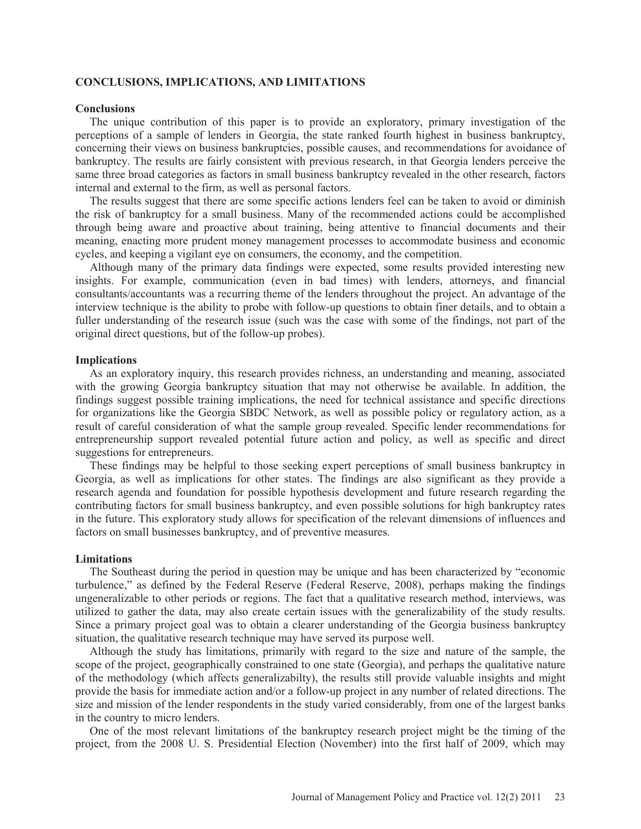### **CONCLUSIONS, IMPLICATIONS, AND LIMITATIONS**

#### **Conclusions**

 The unique contribution of this paper is to provide an exploratory, primary investigation of the perceptions of a sample of lenders in Georgia, the state ranked fourth highest in business bankruptcy, concerning their views on business bankruptcies, possible causes, and recommendations for avoidance of bankruptcy. The results are fairly consistent with previous research, in that Georgia lenders perceive the same three broad categories as factors in small business bankruptcy revealed in the other research, factors internal and external to the firm, as well as personal factors.

 The results suggest that there are some specific actions lenders feel can be taken to avoid or diminish the risk of bankruptcy for a small business. Many of the recommended actions could be accomplished through being aware and proactive about training, being attentive to financial documents and their meaning, enacting more prudent money management processes to accommodate business and economic cycles, and keeping a vigilant eye on consumers, the economy, and the competition.

 Although many of the primary data findings were expected, some results provided interesting new insights. For example, communication (even in bad times) with lenders, attorneys, and financial consultants/accountants was a recurring theme of the lenders throughout the project. An advantage of the interview technique is the ability to probe with follow-up questions to obtain finer details, and to obtain a fuller understanding of the research issue (such was the case with some of the findings, not part of the original direct questions, but of the follow-up probes).

#### **Implications**

 As an exploratory inquiry, this research provides richness, an understanding and meaning, associated with the growing Georgia bankruptcy situation that may not otherwise be available. In addition, the findings suggest possible training implications, the need for technical assistance and specific directions for organizations like the Georgia SBDC Network, as well as possible policy or regulatory action, as a result of careful consideration of what the sample group revealed. Specific lender recommendations for entrepreneurship support revealed potential future action and policy, as well as specific and direct suggestions for entrepreneurs.

 These findings may be helpful to those seeking expert perceptions of small business bankruptcy in Georgia, as well as implications for other states. The findings are also significant as they provide a research agenda and foundation for possible hypothesis development and future research regarding the contributing factors for small business bankruptcy, and even possible solutions for high bankruptcy rates in the future. This exploratory study allows for specification of the relevant dimensions of influences and factors on small businesses bankruptcy, and of preventive measures.

### **Limitations**

 The Southeast during the period in question may be unique and has been characterized by "economic turbulence," as defined by the Federal Reserve (Federal Reserve, 2008), perhaps making the findings ungeneralizable to other periods or regions. The fact that a qualitative research method, interviews, was utilized to gather the data, may also create certain issues with the generalizability of the study results. Since a primary project goal was to obtain a clearer understanding of the Georgia business bankruptcy situation, the qualitative research technique may have served its purpose well.

 Although the study has limitations, primarily with regard to the size and nature of the sample, the scope of the project, geographically constrained to one state (Georgia), and perhaps the qualitative nature of the methodology (which affects generalizabilty), the results still provide valuable insights and might provide the basis for immediate action and/or a follow-up project in any number of related directions. The size and mission of the lender respondents in the study varied considerably, from one of the largest banks in the country to micro lenders.

 One of the most relevant limitations of the bankruptcy research project might be the timing of the project, from the 2008 U. S. Presidential Election (November) into the first half of 2009, which may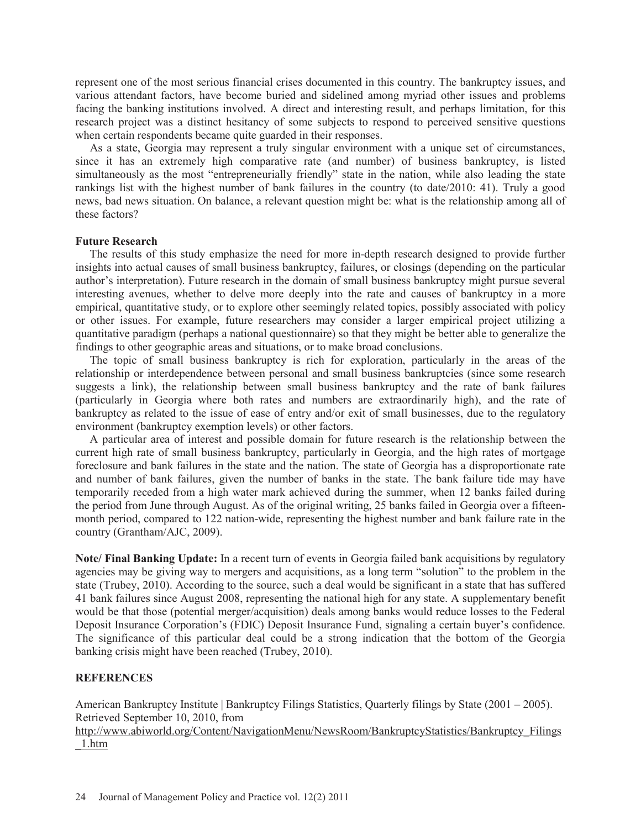represent one of the most serious financial crises documented in this country. The bankruptcy issues, and various attendant factors, have become buried and sidelined among myriad other issues and problems facing the banking institutions involved. A direct and interesting result, and perhaps limitation, for this research project was a distinct hesitancy of some subjects to respond to perceived sensitive questions when certain respondents became quite guarded in their responses.

 As a state, Georgia may represent a truly singular environment with a unique set of circumstances, since it has an extremely high comparative rate (and number) of business bankruptcy, is listed simultaneously as the most "entrepreneurially friendly" state in the nation, while also leading the state rankings list with the highest number of bank failures in the country (to date/2010: 41). Truly a good news, bad news situation. On balance, a relevant question might be: what is the relationship among all of these factors?

## **Future Research**

 The results of this study emphasize the need for more in-depth research designed to provide further insights into actual causes of small business bankruptcy, failures, or closings (depending on the particular author's interpretation). Future research in the domain of small business bankruptcy might pursue several interesting avenues, whether to delve more deeply into the rate and causes of bankruptcy in a more empirical, quantitative study, or to explore other seemingly related topics, possibly associated with policy or other issues. For example, future researchers may consider a larger empirical project utilizing a quantitative paradigm (perhaps a national questionnaire) so that they might be better able to generalize the findings to other geographic areas and situations, or to make broad conclusions.

 The topic of small business bankruptcy is rich for exploration, particularly in the areas of the relationship or interdependence between personal and small business bankruptcies (since some research suggests a link), the relationship between small business bankruptcy and the rate of bank failures (particularly in Georgia where both rates and numbers are extraordinarily high), and the rate of bankruptcy as related to the issue of ease of entry and/or exit of small businesses, due to the regulatory environment (bankruptcy exemption levels) or other factors.

 A particular area of interest and possible domain for future research is the relationship between the current high rate of small business bankruptcy, particularly in Georgia, and the high rates of mortgage foreclosure and bank failures in the state and the nation. The state of Georgia has a disproportionate rate and number of bank failures, given the number of banks in the state. The bank failure tide may have temporarily receded from a high water mark achieved during the summer, when 12 banks failed during the period from June through August. As of the original writing, 25 banks failed in Georgia over a fifteenmonth period, compared to 122 nation-wide, representing the highest number and bank failure rate in the country (Grantham/AJC, 2009).

**Note/ Final Banking Update:** In a recent turn of events in Georgia failed bank acquisitions by regulatory agencies may be giving way to mergers and acquisitions, as a long term "solution" to the problem in the state (Trubey, 2010). According to the source, such a deal would be significant in a state that has suffered 41 bank failures since August 2008, representing the national high for any state. A supplementary benefit would be that those (potential merger/acquisition) deals among banks would reduce losses to the Federal Deposit Insurance Corporation's (FDIC) Deposit Insurance Fund, signaling a certain buyer's confidence. The significance of this particular deal could be a strong indication that the bottom of the Georgia banking crisis might have been reached (Trubey, 2010).

## **REFERENCES**

American Bankruptcy Institute | Bankruptcy Filings Statistics, Quarterly filings by State (2001 – 2005). Retrieved September 10, 2010, from

http://www.abiworld.org/Content/NavigationMenu/NewsRoom/BankruptcyStatistics/Bankruptcy\_Filings \_1.htm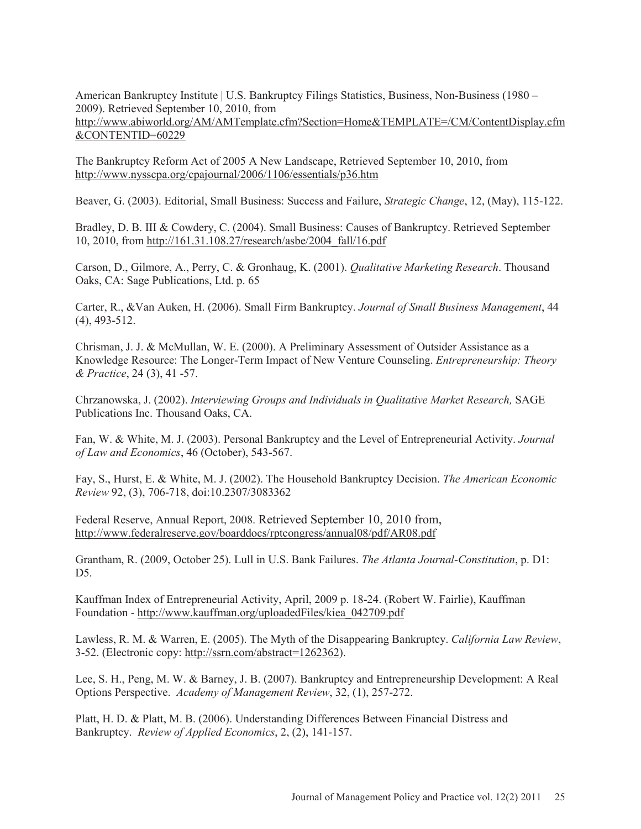American Bankruptcy Institute | U.S. Bankruptcy Filings Statistics, Business, Non-Business (1980 – 2009). Retrieved September 10, 2010, from

http://www.abiworld.org/AM/AMTemplate.cfm?Section=Home&TEMPLATE=/CM/ContentDisplay.cfm &CONTENTID=60229

The Bankruptcy Reform Act of 2005 A New Landscape, Retrieved September 10, 2010, from http://www.nysscpa.org/cpajournal/2006/1106/essentials/p36.htm

Beaver, G. (2003). Editorial, Small Business: Success and Failure, *Strategic Change*, 12, (May), 115-122.

Bradley, D. B. III & Cowdery, C. (2004). Small Business: Causes of Bankruptcy. Retrieved September 10, 2010, from http://161.31.108.27/research/asbe/2004\_fall/16.pdf

Carson, D., Gilmore, A., Perry, C. & Gronhaug, K. (2001). *Qualitative Marketing Research*. Thousand Oaks, CA: Sage Publications, Ltd. p. 65

Carter, R., &Van Auken, H. (2006). Small Firm Bankruptcy. *Journal of Small Business Management*, 44 (4), 493-512.

Chrisman, J. J. & McMullan, W. E. (2000). A Preliminary Assessment of Outsider Assistance as a Knowledge Resource: The Longer-Term Impact of New Venture Counseling. *Entrepreneurship: Theory & Practice*, 24 (3), 41 -57.

Chrzanowska, J. (2002). *Interviewing Groups and Individuals in Qualitative Market Research,* SAGE Publications Inc. Thousand Oaks, CA.

Fan, W. & White, M. J. (2003). Personal Bankruptcy and the Level of Entrepreneurial Activity. *Journal of Law and Economics*, 46 (October), 543-567.

Fay, S., Hurst, E. & White, M. J. (2002). The Household Bankruptcy Decision. *The American Economic Review* 92, (3), 706-718, doi:10.2307/3083362

Federal Reserve, Annual Report, 2008. Retrieved September 10, 2010 from, http://www.federalreserve.gov/boarddocs/rptcongress/annual08/pdf/AR08.pdf

Grantham, R. (2009, October 25). Lull in U.S. Bank Failures. *The Atlanta Journal-Constitution*, p. D1: D<sub>5</sub>.

Kauffman Index of Entrepreneurial Activity, April, 2009 p. 18-24. (Robert W. Fairlie), Kauffman Foundation - http://www.kauffman.org/uploadedFiles/kiea\_042709.pdf

Lawless, R. M. & Warren, E. (2005). The Myth of the Disappearing Bankruptcy. *California Law Review*, 3-52. (Electronic copy: http://ssrn.com/abstract=1262362).

Lee, S. H., Peng, M. W. & Barney, J. B. (2007). Bankruptcy and Entrepreneurship Development: A Real Options Perspective. *Academy of Management Review*, 32, (1), 257-272.

Platt, H. D. & Platt, M. B. (2006). Understanding Differences Between Financial Distress and Bankruptcy. *Review of Applied Economics*, 2, (2), 141-157.